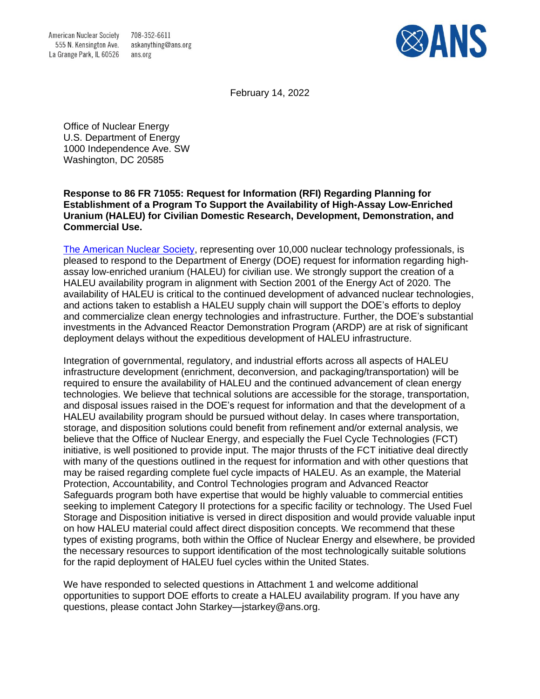708-352-6611 askanything@ans.org ans.org



February 14, 2022

Office of Nuclear Energy U.S. Department of Energy 1000 Independence Ave. SW Washington, DC 20585

# **Response to 86 FR 71055: Request for Information (RFI) Regarding Planning for Establishment of a Program To Support the Availability of High-Assay Low-Enriched Uranium (HALEU) for Civilian Domestic Research, Development, Demonstration, and Commercial Use.**

[The American Nuclear Society,](https://www.ans.org/) representing over 10,000 nuclear technology professionals, is pleased to respond to the Department of Energy (DOE) request for information regarding highassay low-enriched uranium (HALEU) for civilian use. We strongly support the creation of a HALEU availability program in alignment with Section 2001 of the Energy Act of 2020. The availability of HALEU is critical to the continued development of advanced nuclear technologies, and actions taken to establish a HALEU supply chain will support the DOE's efforts to deploy and commercialize clean energy technologies and infrastructure. Further, the DOE's substantial investments in the Advanced Reactor Demonstration Program (ARDP) are at risk of significant deployment delays without the expeditious development of HALEU infrastructure.

Integration of governmental, regulatory, and industrial efforts across all aspects of HALEU infrastructure development (enrichment, deconversion, and packaging/transportation) will be required to ensure the availability of HALEU and the continued advancement of clean energy technologies. We believe that technical solutions are accessible for the storage, transportation, and disposal issues raised in the DOE's request for information and that the development of a HALEU availability program should be pursued without delay. In cases where transportation, storage, and disposition solutions could benefit from refinement and/or external analysis, we believe that the Office of Nuclear Energy, and especially the Fuel Cycle Technologies (FCT) initiative, is well positioned to provide input. The major thrusts of the FCT initiative deal directly with many of the questions outlined in the request for information and with other questions that may be raised regarding complete fuel cycle impacts of HALEU. As an example, the Material Protection, Accountability, and Control Technologies program and Advanced Reactor Safeguards program both have expertise that would be highly valuable to commercial entities seeking to implement Category II protections for a specific facility or technology. The Used Fuel Storage and Disposition initiative is versed in direct disposition and would provide valuable input on how HALEU material could affect direct disposition concepts. We recommend that these types of existing programs, both within the Office of Nuclear Energy and elsewhere, be provided the necessary resources to support identification of the most technologically suitable solutions for the rapid deployment of HALEU fuel cycles within the United States.

We have responded to selected questions in Attachment 1 and welcome additional opportunities to support DOE efforts to create a HALEU availability program. If you have any questions, please contact John Starkey—jstarkey@ans.org.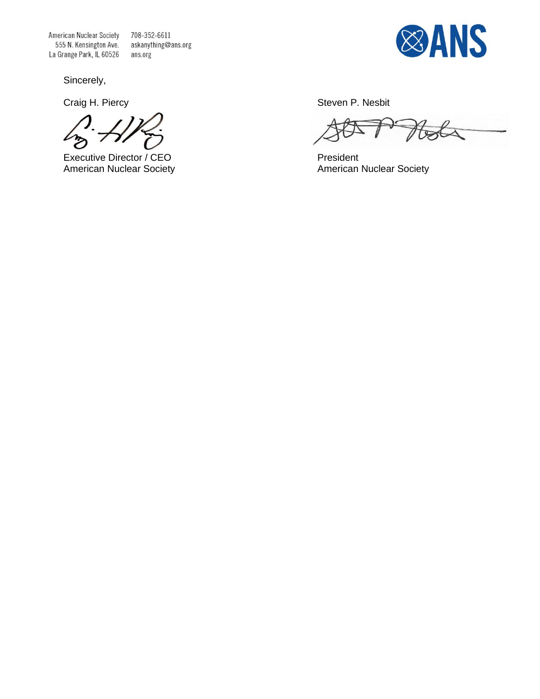American Nuclear Society 555 N. Kensington Ave. La Grange Park, IL 60526

708-352-6611 askanything@ans.org ans.org

Sincerely,

Executive Director / CEO President<br>
American Nuclear Society<br>
American



Craig H. Piercy **Steven P. Nesbit** 

 $\beta$ 

American Nuclear Society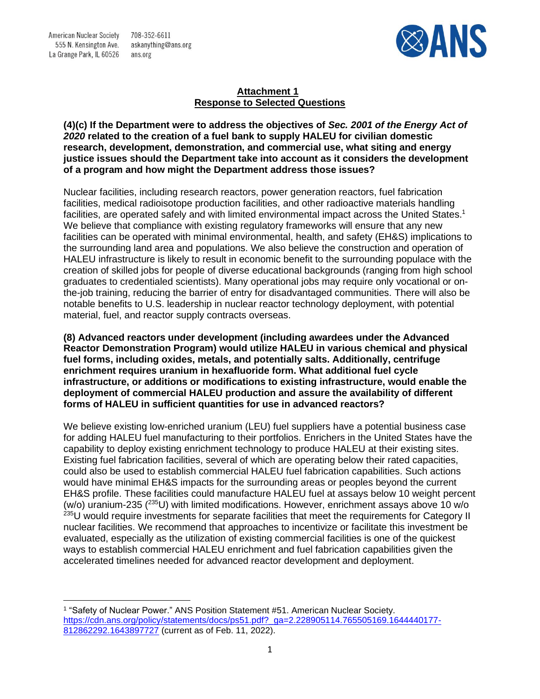708-352-6611 askanything@ans.org ans.org



# **Attachment 1 Response to Selected Questions**

**(4)(c) If the Department were to address the objectives of** *Sec. 2001 of the Energy Act of 2020* **related to the creation of a fuel bank to supply HALEU for civilian domestic research, development, demonstration, and commercial use, what siting and energy justice issues should the Department take into account as it considers the development of a program and how might the Department address those issues?**

Nuclear facilities, including research reactors, power generation reactors, fuel fabrication facilities, medical radioisotope production facilities, and other radioactive materials handling facilities, are operated safely and with limited environmental impact across the United States.<sup>1</sup> We believe that compliance with existing regulatory frameworks will ensure that any new facilities can be operated with minimal environmental, health, and safety (EH&S) implications to the surrounding land area and populations. We also believe the construction and operation of HALEU infrastructure is likely to result in economic benefit to the surrounding populace with the creation of skilled jobs for people of diverse educational backgrounds (ranging from high school graduates to credentialed scientists). Many operational jobs may require only vocational or onthe-job training, reducing the barrier of entry for disadvantaged communities. There will also be notable benefits to U.S. leadership in nuclear reactor technology deployment, with potential material, fuel, and reactor supply contracts overseas.

**(8) Advanced reactors under development (including awardees under the Advanced Reactor Demonstration Program) would utilize HALEU in various chemical and physical fuel forms, including oxides, metals, and potentially salts. Additionally, centrifuge enrichment requires uranium in hexafluoride form. What additional fuel cycle infrastructure, or additions or modifications to existing infrastructure, would enable the deployment of commercial HALEU production and assure the availability of different forms of HALEU in sufficient quantities for use in advanced reactors?**

We believe existing low-enriched uranium (LEU) fuel suppliers have a potential business case for adding HALEU fuel manufacturing to their portfolios. Enrichers in the United States have the capability to deploy existing enrichment technology to produce HALEU at their existing sites. Existing fuel fabrication facilities, several of which are operating below their rated capacities, could also be used to establish commercial HALEU fuel fabrication capabilities. Such actions would have minimal EH&S impacts for the surrounding areas or peoples beyond the current EH&S profile. These facilities could manufacture HALEU fuel at assays below 10 weight percent (w/o) uranium-235 ( $^{235}$ U) with limited modifications. However, enrichment assays above 10 w/o <sup>235</sup>U would require investments for separate facilities that meet the requirements for Category II nuclear facilities. We recommend that approaches to incentivize or facilitate this investment be evaluated, especially as the utilization of existing commercial facilities is one of the quickest ways to establish commercial HALEU enrichment and fuel fabrication capabilities given the accelerated timelines needed for advanced reactor development and deployment.

<sup>1</sup> "Safety of Nuclear Power." ANS Position Statement #51. American Nuclear Society. [https://cdn.ans.org/policy/statements/docs/ps51.pdf?\\_ga=2.228905114.765505169.1644440177-](https://cdn.ans.org/policy/statements/docs/ps51.pdf?_ga=2.228905114.765505169.1644440177-812862292.1643897727) [812862292.1643897727](https://cdn.ans.org/policy/statements/docs/ps51.pdf?_ga=2.228905114.765505169.1644440177-812862292.1643897727) (current as of Feb. 11, 2022).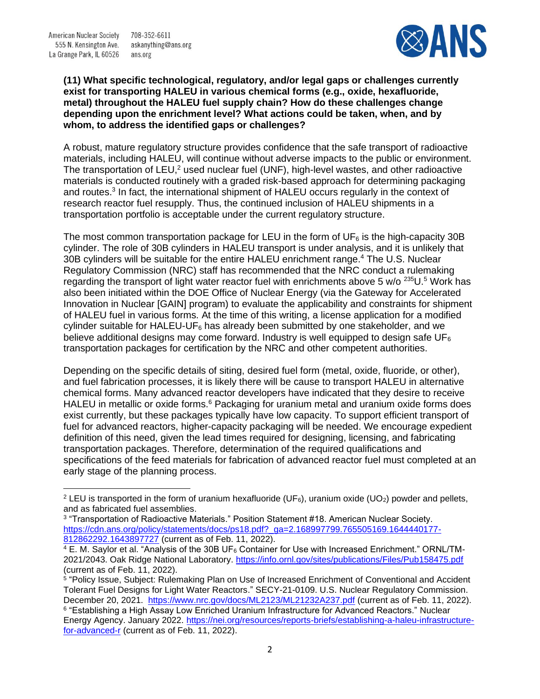American Nuclear Society 555 N. Kensington Ave. La Grange Park, IL 60526

708-352-6611 askanything@ans.org ans.org



## **(11) What specific technological, regulatory, and/or legal gaps or challenges currently exist for transporting HALEU in various chemical forms (e.g., oxide, hexafluoride, metal) throughout the HALEU fuel supply chain? How do these challenges change depending upon the enrichment level? What actions could be taken, when, and by whom, to address the identified gaps or challenges?**

A robust, mature regulatory structure provides confidence that the safe transport of radioactive materials, including HALEU, will continue without adverse impacts to the public or environment. The transportation of LEU,<sup>2</sup> used nuclear fuel (UNF), high-level wastes, and other radioactive materials is conducted routinely with a graded risk-based approach for determining packaging and routes.<sup>3</sup> In fact, the international shipment of HALEU occurs regularly in the context of research reactor fuel resupply. Thus, the continued inclusion of HALEU shipments in a transportation portfolio is acceptable under the current regulatory structure.

The most common transportation package for LEU in the form of  $UF<sub>6</sub>$  is the high-capacity 30B cylinder. The role of 30B cylinders in HALEU transport is under analysis, and it is unlikely that 30B cylinders will be suitable for the entire HALEU enrichment range. <sup>4</sup> The U.S. Nuclear Regulatory Commission (NRC) staff has recommended that the NRC conduct a rulemaking regarding the transport of light water reactor fuel with enrichments above 5  $w$ /o  $235U$ .<sup>5</sup> Work has also been initiated within the DOE Office of Nuclear Energy (via the Gateway for Accelerated Innovation in Nuclear [GAIN] program) to evaluate the applicability and constraints for shipment of HALEU fuel in various forms. At the time of this writing, a license application for a modified cylinder suitable for HALEU-UF $_6$  has already been submitted by one stakeholder, and we believe additional designs may come forward. Industry is well equipped to design safe  $UF<sub>6</sub>$ transportation packages for certification by the NRC and other competent authorities.

Depending on the specific details of siting, desired fuel form (metal, oxide, fluoride, or other), and fuel fabrication processes, it is likely there will be cause to transport HALEU in alternative chemical forms. Many advanced reactor developers have indicated that they desire to receive HALEU in metallic or oxide forms.<sup>6</sup> Packaging for uranium metal and uranium oxide forms does exist currently, but these packages typically have low capacity. To support efficient transport of fuel for advanced reactors, higher-capacity packaging will be needed. We encourage expedient definition of this need, given the lead times required for designing, licensing, and fabricating transportation packages. Therefore, determination of the required qualifications and specifications of the feed materials for fabrication of advanced reactor fuel must completed at an early stage of the planning process.

<sup>&</sup>lt;sup>2</sup> LEU is transported in the form of uranium hexafluoride (UF<sub>6</sub>), uranium oxide (UO<sub>2</sub>) powder and pellets, and as fabricated fuel assemblies.

<sup>3</sup> "Transportation of Radioactive Materials." Position Statement #18. American Nuclear Society. [https://cdn.ans.org/policy/statements/docs/ps18.pdf?\\_ga=2.168997799.765505169.1644440177-](https://cdn.ans.org/policy/statements/docs/ps18.pdf?_ga=2.168997799.765505169.1644440177-812862292.1643897727) [812862292.1643897727](https://cdn.ans.org/policy/statements/docs/ps18.pdf?_ga=2.168997799.765505169.1644440177-812862292.1643897727) (current as of Feb. 11, 2022).

<sup>4</sup> E. M. Saylor et al. "Analysis of the 30B UF<sup>6</sup> Container for Use with Increased Enrichment." ORNL/TM-2021/2043. Oak Ridge National Laboratory.<https://info.ornl.gov/sites/publications/Files/Pub158475.pdf> (current as of Feb. 11, 2022).

<sup>5</sup> "Policy Issue, Subject: Rulemaking Plan on Use of Increased Enrichment of Conventional and Accident Tolerant Fuel Designs for Light Water Reactors." SECY-21-0109. U.S. Nuclear Regulatory Commission. December 20, 2021. <https://www.nrc.gov/docs/ML2123/ML21232A237.pdf> (current as of Feb. 11, 2022). 6 "Establishing a High Assay Low Enriched Uranium Infrastructure for Advanced Reactors." Nuclear Energy Agency. January 2022. [https://nei.org/resources/reports-briefs/establishing-a-haleu-infrastructure](https://nei.org/resources/reports-briefs/establishing-a-haleu-infrastructure-for-advanced-r)[for-advanced-r](https://nei.org/resources/reports-briefs/establishing-a-haleu-infrastructure-for-advanced-r) (current as of Feb. 11, 2022).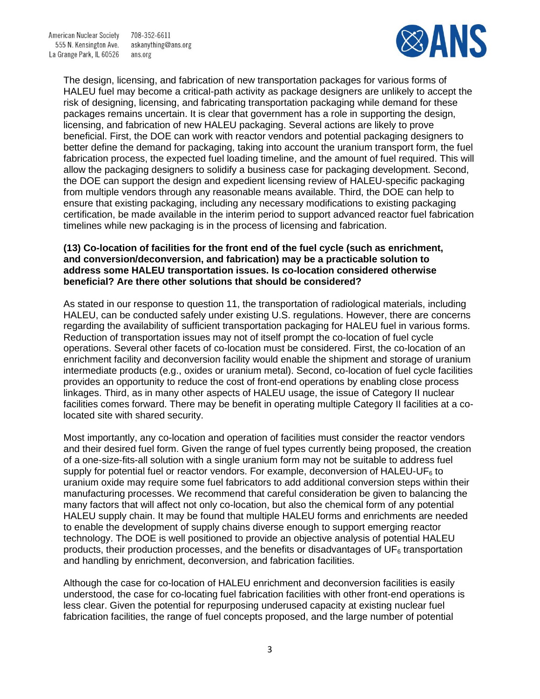708-352-6611 askanything@ans.org ans.org



The design, licensing, and fabrication of new transportation packages for various forms of HALEU fuel may become a critical-path activity as package designers are unlikely to accept the risk of designing, licensing, and fabricating transportation packaging while demand for these packages remains uncertain. It is clear that government has a role in supporting the design, licensing, and fabrication of new HALEU packaging. Several actions are likely to prove beneficial. First, the DOE can work with reactor vendors and potential packaging designers to better define the demand for packaging, taking into account the uranium transport form, the fuel fabrication process, the expected fuel loading timeline, and the amount of fuel required. This will allow the packaging designers to solidify a business case for packaging development. Second, the DOE can support the design and expedient licensing review of HALEU-specific packaging from multiple vendors through any reasonable means available. Third, the DOE can help to ensure that existing packaging, including any necessary modifications to existing packaging certification, be made available in the interim period to support advanced reactor fuel fabrication timelines while new packaging is in the process of licensing and fabrication.

# **(13) Co-location of facilities for the front end of the fuel cycle (such as enrichment, and conversion/deconversion, and fabrication) may be a practicable solution to address some HALEU transportation issues. Is co-location considered otherwise beneficial? Are there other solutions that should be considered?**

As stated in our response to question 11, the transportation of radiological materials, including HALEU, can be conducted safely under existing U.S. regulations. However, there are concerns regarding the availability of sufficient transportation packaging for HALEU fuel in various forms. Reduction of transportation issues may not of itself prompt the co-location of fuel cycle operations. Several other facets of co-location must be considered. First, the co-location of an enrichment facility and deconversion facility would enable the shipment and storage of uranium intermediate products (e.g., oxides or uranium metal). Second, co-location of fuel cycle facilities provides an opportunity to reduce the cost of front-end operations by enabling close process linkages. Third, as in many other aspects of HALEU usage, the issue of Category II nuclear facilities comes forward. There may be benefit in operating multiple Category II facilities at a colocated site with shared security.

Most importantly, any co-location and operation of facilities must consider the reactor vendors and their desired fuel form. Given the range of fuel types currently being proposed, the creation of a one-size-fits-all solution with a single uranium form may not be suitable to address fuel supply for potential fuel or reactor vendors. For example, deconversion of HALEU-UF $_6$  to uranium oxide may require some fuel fabricators to add additional conversion steps within their manufacturing processes. We recommend that careful consideration be given to balancing the many factors that will affect not only co-location, but also the chemical form of any potential HALEU supply chain. It may be found that multiple HALEU forms and enrichments are needed to enable the development of supply chains diverse enough to support emerging reactor technology. The DOE is well positioned to provide an objective analysis of potential HALEU products, their production processes, and the benefits or disadvantages of  $UF<sub>6</sub>$  transportation and handling by enrichment, deconversion, and fabrication facilities.

Although the case for co-location of HALEU enrichment and deconversion facilities is easily understood, the case for co-locating fuel fabrication facilities with other front-end operations is less clear. Given the potential for repurposing underused capacity at existing nuclear fuel fabrication facilities, the range of fuel concepts proposed, and the large number of potential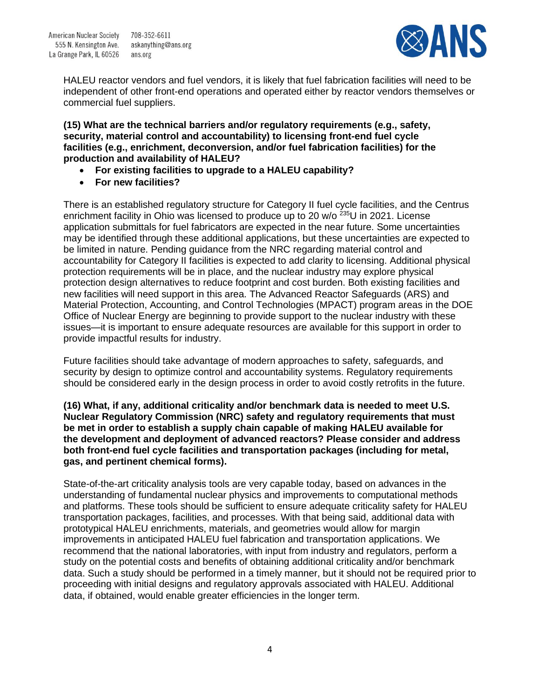askanything@ans.org



HALEU reactor vendors and fuel vendors, it is likely that fuel fabrication facilities will need to be independent of other front-end operations and operated either by reactor vendors themselves or commercial fuel suppliers.

**(15) What are the technical barriers and/or regulatory requirements (e.g., safety, security, material control and accountability) to licensing front-end fuel cycle facilities (e.g., enrichment, deconversion, and/or fuel fabrication facilities) for the production and availability of HALEU?**

- **For existing facilities to upgrade to a HALEU capability?**
- **For new facilities?**

There is an established regulatory structure for Category II fuel cycle facilities, and the Centrus enrichment facility in Ohio was licensed to produce up to 20  $w$ /o  $^{235}$ U in 2021. License application submittals for fuel fabricators are expected in the near future. Some uncertainties may be identified through these additional applications, but these uncertainties are expected to be limited in nature. Pending guidance from the NRC regarding material control and accountability for Category II facilities is expected to add clarity to licensing. Additional physical protection requirements will be in place, and the nuclear industry may explore physical protection design alternatives to reduce footprint and cost burden. Both existing facilities and new facilities will need support in this area. The Advanced Reactor Safeguards (ARS) and Material Protection, Accounting, and Control Technologies (MPACT) program areas in the DOE Office of Nuclear Energy are beginning to provide support to the nuclear industry with these issues—it is important to ensure adequate resources are available for this support in order to provide impactful results for industry.

Future facilities should take advantage of modern approaches to safety, safeguards, and security by design to optimize control and accountability systems. Regulatory requirements should be considered early in the design process in order to avoid costly retrofits in the future.

**(16) What, if any, additional criticality and/or benchmark data is needed to meet U.S. Nuclear Regulatory Commission (NRC) safety and regulatory requirements that must be met in order to establish a supply chain capable of making HALEU available for the development and deployment of advanced reactors? Please consider and address both front-end fuel cycle facilities and transportation packages (including for metal, gas, and pertinent chemical forms).**

State-of-the-art criticality analysis tools are very capable today, based on advances in the understanding of fundamental nuclear physics and improvements to computational methods and platforms. These tools should be sufficient to ensure adequate criticality safety for HALEU transportation packages, facilities, and processes. With that being said, additional data with prototypical HALEU enrichments, materials, and geometries would allow for margin improvements in anticipated HALEU fuel fabrication and transportation applications. We recommend that the national laboratories, with input from industry and regulators, perform a study on the potential costs and benefits of obtaining additional criticality and/or benchmark data. Such a study should be performed in a timely manner, but it should not be required prior to proceeding with initial designs and regulatory approvals associated with HALEU. Additional data, if obtained, would enable greater efficiencies in the longer term.